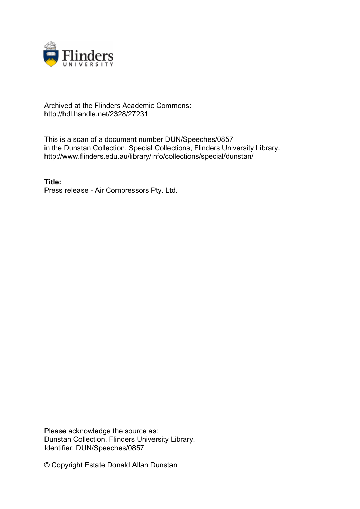

# Archived at the Flinders Academic Commons: http://hdl.handle.net/2328/27231

This is a scan of a document number DUN/Speeches/0857 in the Dunstan Collection, Special Collections, Flinders University Library. http://www.flinders.edu.au/library/info/collections/special/dunstan/

**Title:** Press release - Air Compressors Pty. Ltd.

Please acknowledge the source as: Dunstan Collection, Flinders University Library. Identifier: DUN/Speeches/0857

© Copyright Estate Donald Allan Dunstan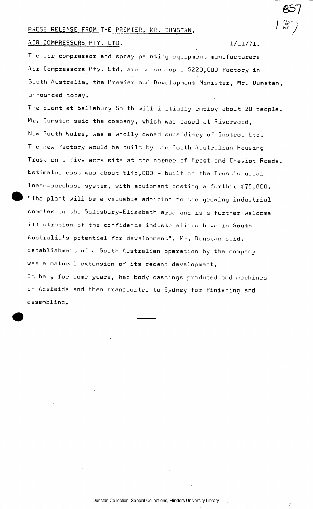### PRESS RELEASE FROM THE PREMIER, MR. DUNSTAN.

AIR COMPRESSORS PTY. LTD. 1/11/71.

The air compressor and spray painting equipment manufacturers Air Compressors Pty. Ltd. are to set up a \$220,000 factory in South Australia, the Premier and Development Minister, Mr. Dunstan announced today.

The plant at Salisbury South will initially employ about 20 people. Mr. Dunstan said the company, which was based at Riverwood, New South Wales, was a wholly owned subsidiary of Instrol Ltd. The new factory would be built by the South Australian Housing Trust on a five acre site at the corner of Frost and Cheviot Roads Estimated cost was about \$145,000 - built on the Trust's usual lease-purchase system, with equipment costing a further \$75,000. "The plant will be a valuable addition to the growing industrial complex in the Salisbury-Elizabeth area and is a further welcome illustration of the confidence industrialists have in South Australia's potential for development", Mr. Dunstan said. Establishment of a South Australian operation by the company was a natural extension of its recent development. It had, for some years, had body castings produced and machined in Adelaide and then transported to Sydney for finishing and assembling.